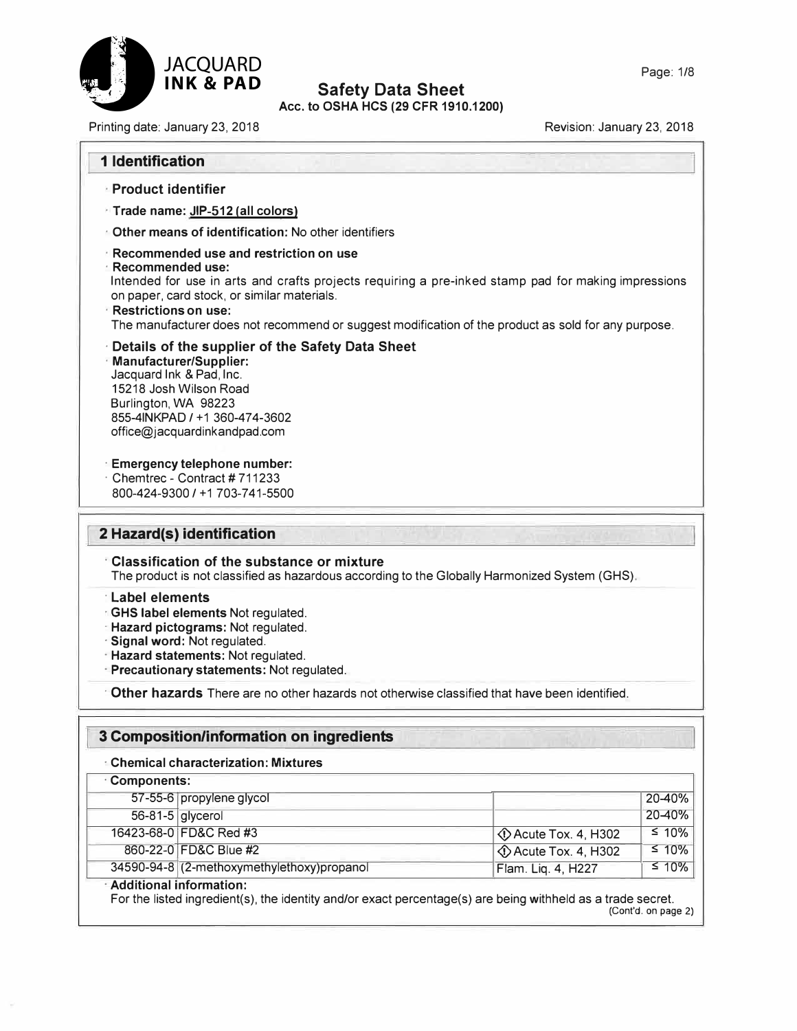

**Acc. to OSHA HCS (29 CFR 1910.1200)** 

Printing date: January 23, 2018 **Revision: January 23, 2018** Revision: January 23, 2018

## **1 Identification**

- **· Product identifier**
- **· Trade name: JIP-512 (all colors)**
- **· Other means of identification:** No other identifiers
- **· Recommended use and restriction on use**
- **· Recommended use:**

Intended for use in arts and crafts projects requiring a pre-inked stamp pad for making impressions on paper, card stock, or similar materials.

- **· Restrictions on use:** The manufacturer does not recommend or suggest modification of the product as sold for any purpose.
- **· Details of the supplier of the Safety Data Sheet**
- **· Manufacturer/Supplier:** Jacquard Ink & Pad, Inc. 15218 Josh Wilson Road Burlington, WA 98223 855-4INKPAD / +1 360-474-3602 office@jacquardinkandpad.com
- **· Emergency telephone number:**
- **Chemtrec Contract #711233** 800-424-9300 / +1 703-741-5500

## **2 Hazard(s) identification**

- **· Classification of the substance or mixture** The product is not classified as hazardous according to the Globally Harmonized System (GHS).
- **· Label elements**
- **· GHS label elements** Not regulated.
- **· Hazard pictograms:** Not regulated.
- **· Signal word:** Not regulated.
- **· Hazard statements:** Not regulated.
- **· Precautionary statements:** Not regulated.

**· Other hazards** There are no other hazards not otherwise classified that have been identified.

## **3 Composition/information on ingredients**

**· Chemical characterization: Mixtures**

| <b>Components:</b>        |                                            |                               |             |
|---------------------------|--------------------------------------------|-------------------------------|-------------|
|                           | 57-55-6 propylene glycol                   |                               | $20 - 40%$  |
|                           | 56-81-5 glycerol                           |                               | 20-40%      |
|                           | 16423-68-0 FD&C Red #3                     | $\Diamond$ Acute Tox. 4, H302 | $\leq 10\%$ |
|                           | 860-22-0 FD&C Blue #2                      | ◯ Acute Tox. 4, H302          | $\leq 10\%$ |
|                           | 34590-94-8 (2-methoxymethylethoxy)propanol | Flam. Lig. 4, H227            | $\leq 10\%$ |
| · Additional information: |                                            |                               |             |

#### **· Additional information:**

For the listed ingredient(s), the identity and/or exact percentage(s) are being withheld as a trade secret. (Cont'd. on page 2)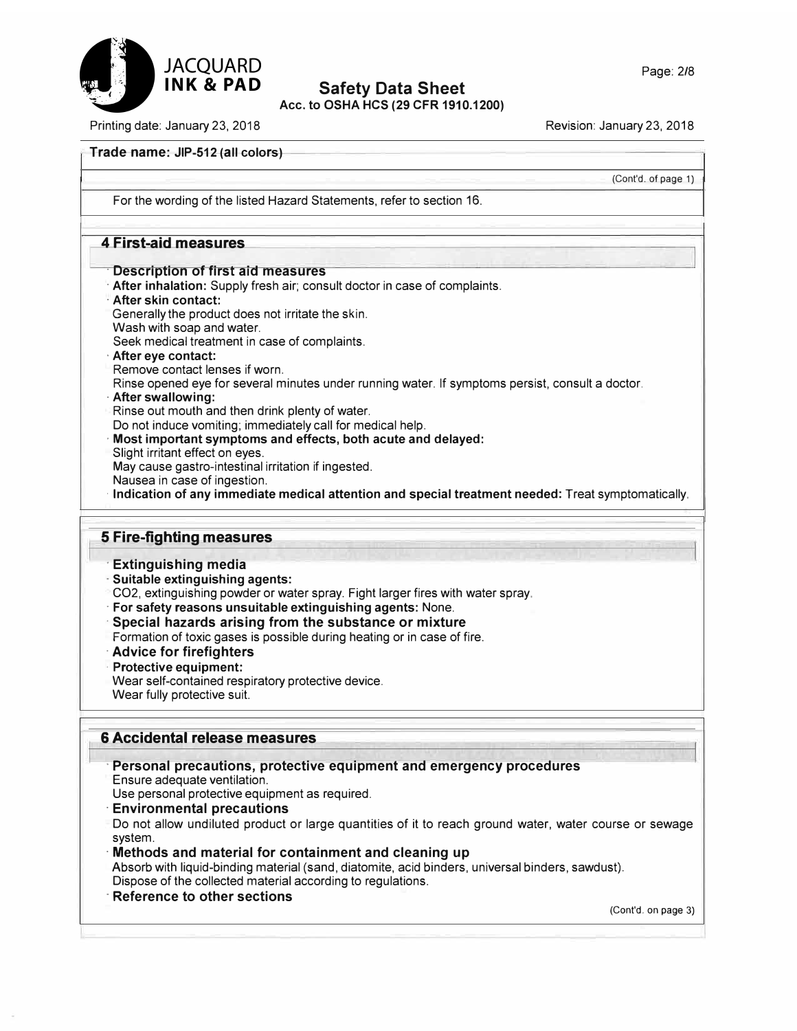

## **Safety Data Sheet Acc. to OSHA HCS (29 CFR 1910.1200)**

Printing date: January 23, 2018 Revision: January 23, 2018

#### **Trade name: JIP-512 (all colors)**

(Cont'd. of page 1)

For the wording of the listed Hazard Statements, refer to section 16.

### **4 First-aid measures**

#### **· Description of first aid measures**

- **· After inhalation:** Supply fresh air; consult doctor in case of complaints.
- **· After skin contact:**
- Generally the product does not irritate the skin.
- Wash with soap and water.
- Seek medical treatment in case of complaints.
- **· After eye contact:**
- Remove contact lenses if worn.
- Rinse opened eye for several minutes under running water. If symptoms persist, consult a doctor.
- **· After swallowing:**
- Rinse out mouth and then drink plenty of water.
- Do not induce vomiting; immediately call for medical help.
- **· Most important symptoms and effects, both acute and delayed:**
- Slight irritant effect on eyes.
- May cause gastro-intestinal irritation if ingested.
- Nausea in case of ingestion.
- **· Indication of any immediate medical attention and special treatment needed:** Treat symptomatically.

#### **5 Fire-fighting measures**

- **· Extinguishing media**
- **· Suitable extinguishing agents:**
- CO2, extinguishing powder or water spray. Fight larger fires with water spray.
- **· For safety reasons unsuitable extinguishing agents:** None.
- **· Special hazards arising from the substance or mixture**
- Formation of toxic gases is possible during heating or in case of fire.
- **· Advice for firefighters**
- **· Protective equipment:**
- Wear self-contained respiratory protective device.
- Wear fully protective suit.

## **6 Accidental release measures**

## **· Personal precautions, protective equipment and emergency procedures**

Ensure adequate ventilation.

- Use personal protective equipment as required.
- **· Environmental precautions**
- Do not allow undiluted product or large quantities of it to reach ground water, water course or sewage system.
- **· Methods and material for containment and cleaning up**

Absorb with liquid-binding material (sand, diatomite, acid binders, universal binders, sawdust). Dispose of the collected material according to regulations.

**· Reference to other sections**

(Cont'd. on page 3)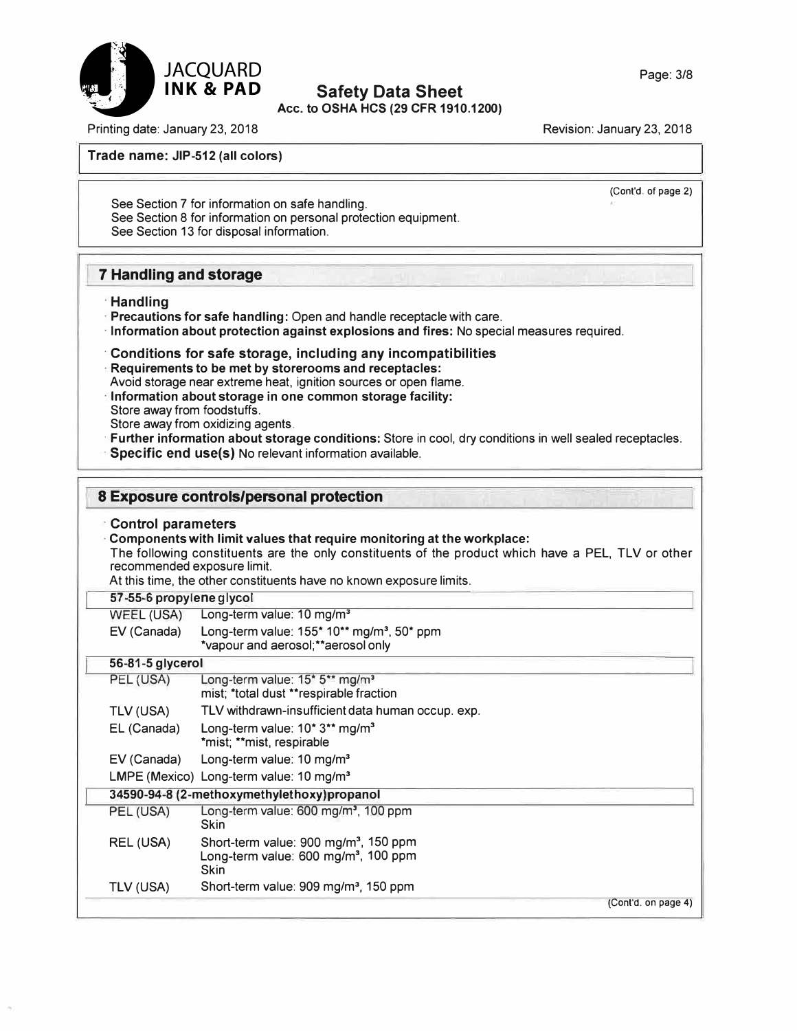**Acc. to OSHA HCS (29 CFR 1910.1200)** 

Revision: January 23, 2018

**Trade name: JIP-512 (all colors)** 

(Cont'd. of page 2)

See Section 7 for information on safe handling. See Section 8 for information on personal protection equipment. See Section 13 for disposal information.

## **7 Handling and storage**

- **· Handling**
- **· Precautions for safe handling:** Open and handle receptacle with care.
- **· Information about protection against explosions and fires:** No special measures required.

#### **· Conditions for safe storage, including any incompatibilities**

- **· Requirements to be met by storerooms and receptacles:**
- Avoid storage near extreme heat, ignition sources or open flame.
- **· Information about storage in one common storage facility:** Store away from foodstuffs.
- Store away from oxidizing agents.
- **· Further information about storage conditions:** Store in cool, dry conditions in well sealed receptacles. **· Specific end use(s)** No relevant information available.

## **8 Exposure controls/personal protection**

#### **· Control parameters**

**· Components with limit values that require monitoring at the workplace:** The following constituents are the only constituents of the product which have a PEL, TLV or other recommended exposure limit.

At this time, the other constituents have no known exposure limits.

#### **57-55-6 propylene glycol**

| WEEL (USA) | Long-term value: 10 mg/m <sup>3</sup> |  |
|------------|---------------------------------------|--|
|------------|---------------------------------------|--|

| EV (Canada) | Long-term value: $155*10**$ mg/m <sup>3</sup> , 50* ppm<br>*vapour and aerosol; **aerosol only |
|-------------|------------------------------------------------------------------------------------------------|
|             |                                                                                                |

| 56-81-5 glycerol |                                                                                                                      |
|------------------|----------------------------------------------------------------------------------------------------------------------|
| PEL (USA)        | Long-term value: $15$ * $5$ ** mg/m <sup>3</sup><br>mist; *total dust **respirable fraction                          |
| TLV (USA)        | TLV withdrawn-insufficient data human occup. exp.                                                                    |
| EL (Canada)      | Long-term value: $10^*3^{**}$ mg/m <sup>3</sup><br>*mist; **mist, respirable                                         |
| EV (Canada)      | Long-term value: $10 \text{ mg/m}^3$                                                                                 |
|                  | LMPE (Mexico) Long-term value: $10 \text{ mg/m}^3$                                                                   |
|                  | 34590-94-8 (2-methoxymethylethoxy) propanol                                                                          |
| PEL (USA)        | Long-term value: 600 mg/m <sup>3</sup> , 100 ppm<br><b>Skin</b>                                                      |
| REL (USA)        | Short-term value: 900 mg/m <sup>3</sup> , 150 ppm<br>Long-term value: 600 mg/m <sup>3</sup> , 100 ppm<br><b>Skin</b> |
| TLV (USA)        | Short-term value: 909 mg/m <sup>3</sup> , 150 ppm                                                                    |
|                  | (Cont'd. on page 4)                                                                                                  |



Printing date: January 23, 2018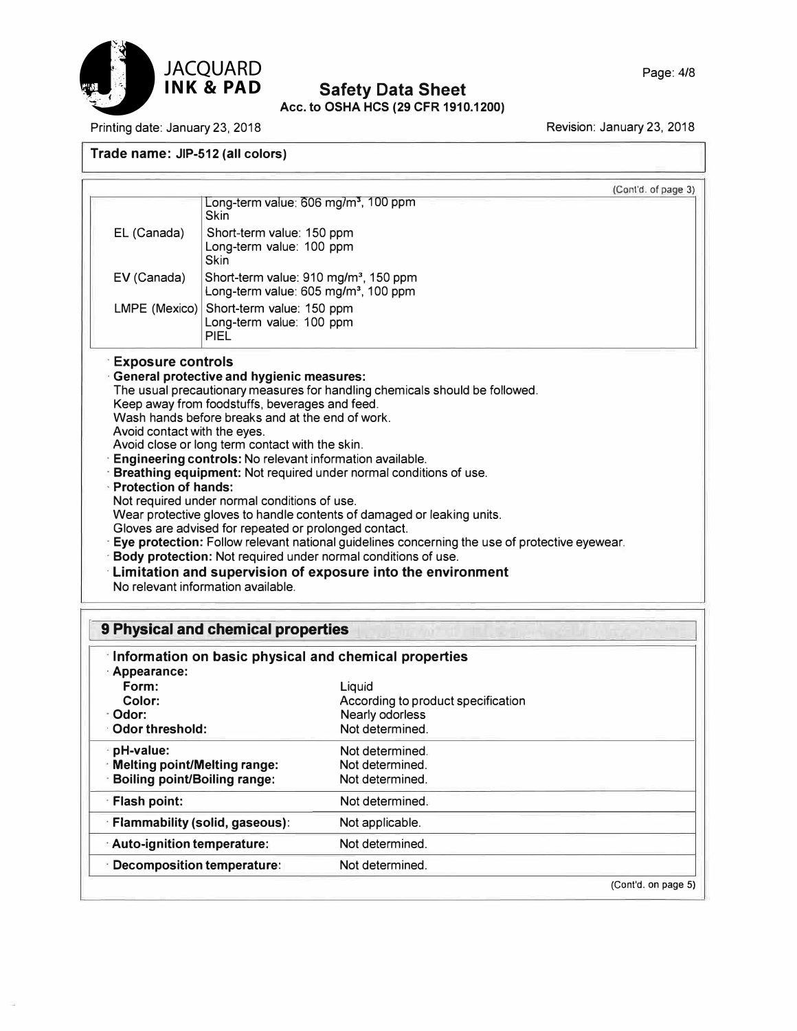

## **Safety Data Sheet Acc. to OSHA HCS (29 CFR 1910.1200)**

Printing date: January 23, 2018

Revision: January 23, 2018

**Trade name: JIP-512 (all colors)** 

|                                                             | Long-term value: 606 mg/m <sup>3</sup> , 100 ppm<br><b>Skin</b>                                                                                                                                                                                                                                                                                                                                                                                                                                                                                                                                                                                                                                                                                                                                                                                                                    | (Cont'd. of page 3) |
|-------------------------------------------------------------|------------------------------------------------------------------------------------------------------------------------------------------------------------------------------------------------------------------------------------------------------------------------------------------------------------------------------------------------------------------------------------------------------------------------------------------------------------------------------------------------------------------------------------------------------------------------------------------------------------------------------------------------------------------------------------------------------------------------------------------------------------------------------------------------------------------------------------------------------------------------------------|---------------------|
| EL (Canada)                                                 | Short-term value: 150 ppm<br>Long-term value: 100 ppm<br><b>Skin</b>                                                                                                                                                                                                                                                                                                                                                                                                                                                                                                                                                                                                                                                                                                                                                                                                               |                     |
| EV (Canada)                                                 | Short-term value: 910 mg/m <sup>3</sup> , 150 ppm<br>Long-term value: 605 mg/m <sup>3</sup> , 100 ppm                                                                                                                                                                                                                                                                                                                                                                                                                                                                                                                                                                                                                                                                                                                                                                              |                     |
| $LMPE$ (Mexico)                                             | Short-term value: 150 ppm<br>Long-term value: 100 ppm<br><b>PIFI</b>                                                                                                                                                                                                                                                                                                                                                                                                                                                                                                                                                                                                                                                                                                                                                                                                               |                     |
| Avoid contact with the eyes.<br><b>Protection of hands:</b> | <b>General protective and hygienic measures:</b><br>The usual precautionary measures for handling chemicals should be followed.<br>Keep away from foodstuffs, beverages and feed.<br>Wash hands before breaks and at the end of work.<br>Avoid close or long term contact with the skin.<br>Engineering controls: No relevant information available.<br>Breathing equipment: Not required under normal conditions of use.<br>Not required under normal conditions of use.<br>Wear protective gloves to handle contents of damaged or leaking units.<br>Gloves are advised for repeated or prolonged contact.<br>Eye protection: Follow relevant national guidelines concerning the use of protective eyewear.<br>Body protection: Not required under normal conditions of use.<br>Limitation and supervision of exposure into the environment<br>No relevant information available |                     |

| 9 Physical and chemical properties                                    |  |
|-----------------------------------------------------------------------|--|
| "Information on basic physical and chemical properties<br>Appearance: |  |

| Appearance:<br>Form:<br>Color:<br>Odor:<br>Odor threshold:                              | Liquid<br>According to product specification<br>Nearly odorless<br>Not determined. |                     |
|-----------------------------------------------------------------------------------------|------------------------------------------------------------------------------------|---------------------|
| pH-value:<br><b>Melting point/Melting range:</b><br><b>Boiling point/Boiling range:</b> | Not determined.<br>Not determined.<br>Not determined.                              |                     |
| Flash point:                                                                            | Not determined.                                                                    |                     |
| <b>Flammability (solid, gaseous):</b>                                                   | Not applicable.                                                                    |                     |
| Auto-ignition temperature:                                                              | Not determined.                                                                    |                     |
| Decomposition temperature:                                                              | Not determined.                                                                    |                     |
|                                                                                         |                                                                                    | (Cont'd. on page 5) |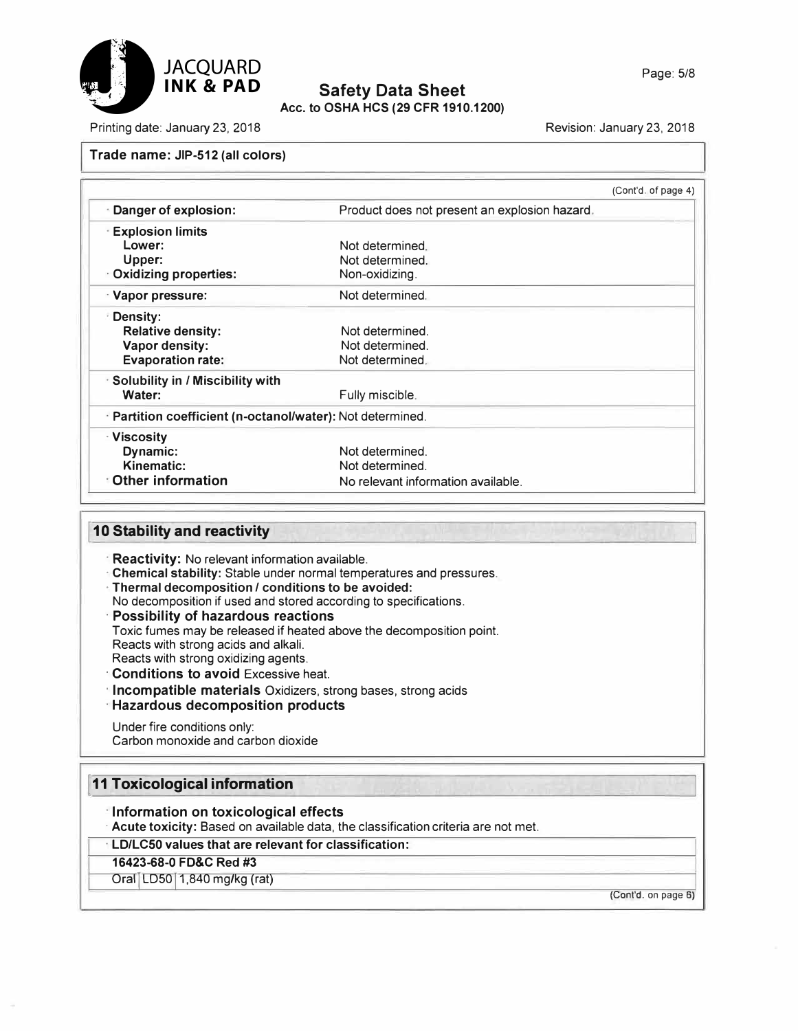

**Acc. to OSHA HCS (29 CFR 1910.1200)** 

Printing date: January 23, 2018 Revision: January 23, 2018

#### **Trade name: JIP-512 (all colors)**

|                                                          |                                               | (Cont'd. of page 4) |
|----------------------------------------------------------|-----------------------------------------------|---------------------|
| Danger of explosion:                                     | Product does not present an explosion hazard. |                     |
| <b>Explosion limits</b>                                  |                                               |                     |
| Lower:                                                   | Not determined.                               |                     |
| Upper:                                                   | Not determined.                               |                     |
| Oxidizing properties:                                    | Non-oxidizing.                                |                     |
| Vapor pressure:                                          | Not determined.                               |                     |
| Density:                                                 |                                               |                     |
| <b>Relative density:</b>                                 | Not determined.                               |                     |
| Vapor density:                                           | Not determined.                               |                     |
| <b>Evaporation rate:</b>                                 | Not determined.                               |                     |
| <b>Solubility in / Miscibility with</b>                  |                                               |                     |
| Water:                                                   | Fully miscible.                               |                     |
| Partition coefficient (n-octanol/water): Not determined. |                                               |                     |
| · Viscosity                                              |                                               |                     |
| Dynamic:                                                 | Not determined.                               |                     |
| Kinematic:                                               | Not determined.                               |                     |
| <b>Other information</b>                                 | No relevant information available.            |                     |

### **10 Stability and reactivity**

- **· Reactivity:** No relevant information available.
- **· Chemical stability:** Stable under normal temperatures and pressures.
- **· Thermal decomposition / conditions to be avoided:**
- No decomposition if used and stored according to specifications.
- **· Possibility of hazardous reactions**
- Toxic fumes may be released if heated above the decomposition point. Reacts with strong acids and alkali. Reacts with strong oxidizing agents.
- **· Conditions to avoid** Excessive heat.
- **· Incompatible materials** Oxidizers, strong bases, strong acids
- **· Hazardous decomposition products**

#### Under fire conditions only: Carbon monoxide and carbon dioxide

## **I 11 Toxicological information**

- **· Information on toxicological effects**
- **· Acute toxicity:** Based on available data, the classification criteria are not met.

## **· LD/LCS0 values that are relevant for classification:**

## **16423-68-0 FD&C Red #3**

Oral LD50 1,840 mg/kg (rat)

(Cont'd. on page 6)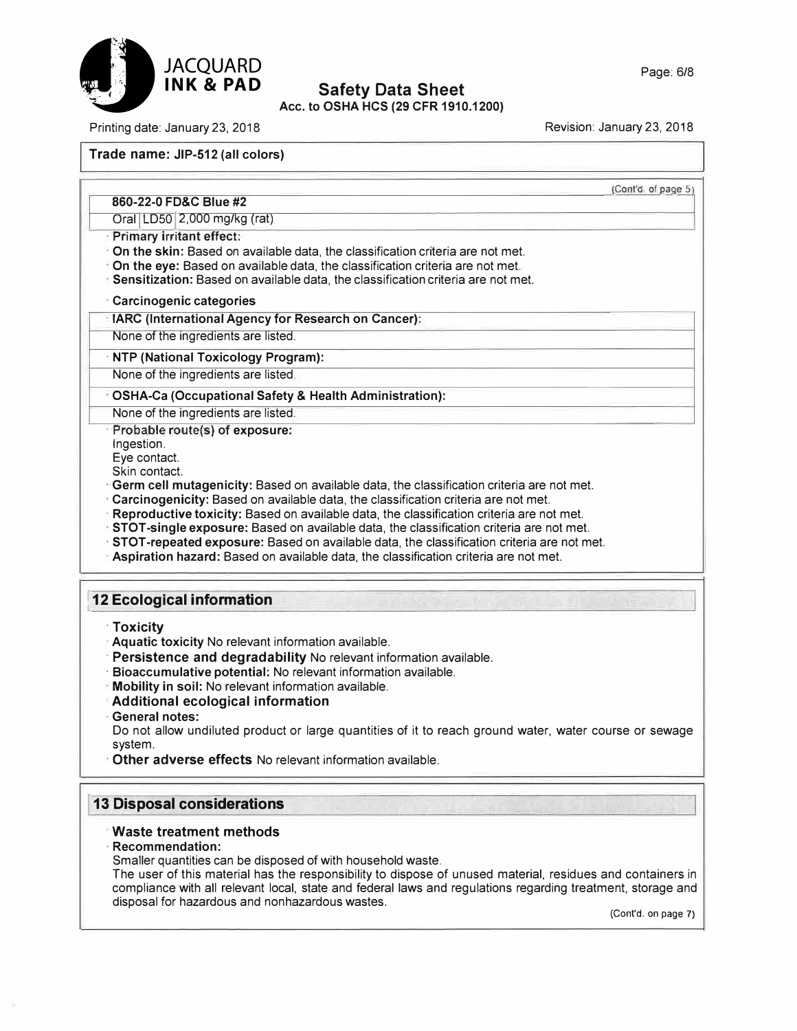



Acc. to OSHA HCS (29 CFR 1910.1200)

Printing date: January 23, 2018 **Revision: January 23, 2018** Revision: January 23, 2018

## **Trade name: JIP-512 (all colors)**

(Cont'd. of page 5)

#### **860-22-0 FD&C Blue #2** Oral LD50 2,000 mg/kg (rat)

- **· Primary irritant effect:**
- **· On the skin:** Based on available data, the classification criteria are not met.
- **· On the eye:** Based on available data, the classification criteria are not met.
- **· Sensitization:** Based on available data, the classification criteria are not met.

## **· Carcinogenic categories**

- **· IARC (International Agency for Research on Cancer):**
- None of the ingredients are listed.

## **· NTP (National Toxicology Program):**

None of the ingredients are listed.

## **· OSHA-Ca (Occupational Safety & Health Administration):**

None of the ingredients are listed.

**· Probable route(s) of exposure:**

Ingestion.

Eye contact.

Skin contact.

- **· Germ cell mutagenicity:** Based on available data, the classification criteria are not met.
- **· Carcinogenicity:** Based on available data, the classification criteria are not met.
- **· Reproductive toxicity:** Based on available data, the classification criteria are not met.
- **· STOT-single exposure:** Based on available data, the classification criteria are not met.
- **· STOT-repeated exposure:** Based on available data, the classification criteria are not met.
- **· Aspiration hazard:** Based on available data, the classification criteria are not met.

## ! **12 Ecological information**

- **· Toxicity**
- **· Aquatic toxicity** No relevant information available.
- **· Persistence and degradability** No relevant information available.
- **· Bioaccumulative potential:** No relevant information available.
- **· Mobility in soil:** No relevant information available.
- **· Additional ecological information**
- **· General notes:**

Do not allow undiluted product or large quantities of it to reach ground water, water course or sewage system.

**· Other adverse effects** No relevant information available.

## **I 13 Disposal considerations**

## **· Waste treatment methods**

## **· Recommendation:**

Smaller quantities can be disposed of with household waste.

The user of this material has the responsibility to dispose of unused material, residues and containers in compliance with all relevant local, state and federal laws and regulations regarding treatment, storage and disposal for hazardous and nonhazardous wastes.

(Cont'd. on page 7)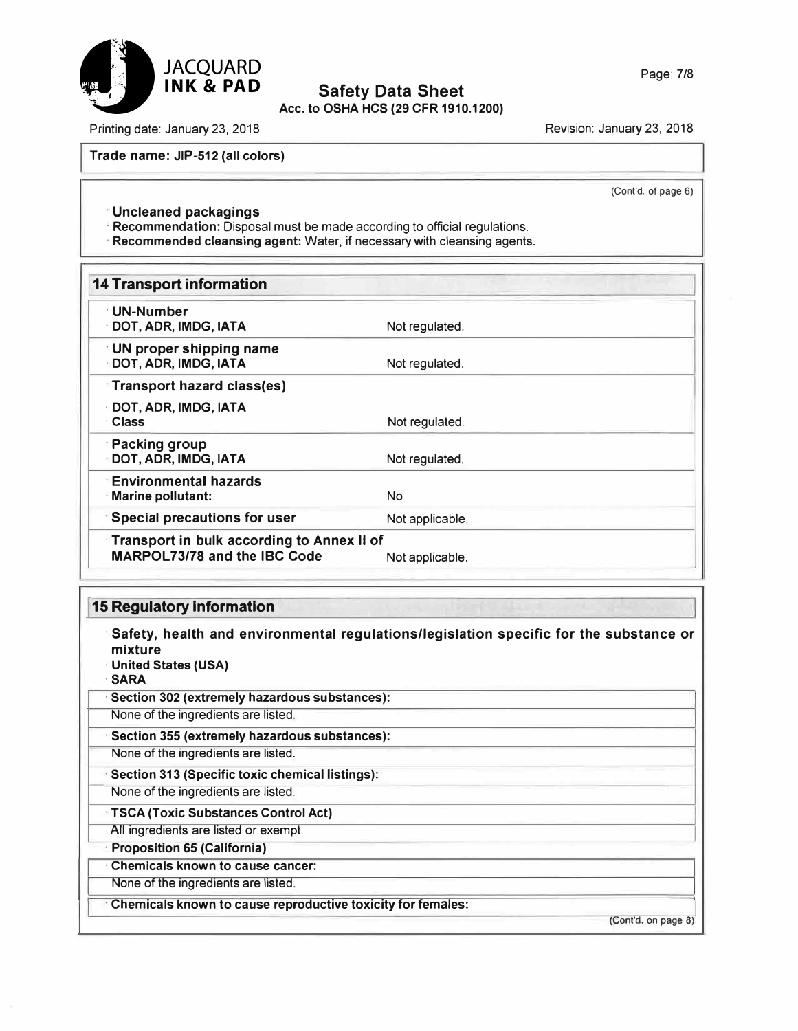

## **Acc. to OSHA HCS (29 CFR 1910.1200)**

Printing date: January 23, 2018 **Revision: January 23, 2018** Revision: January 23, 2018

**Trade name: JIP-512 (all colors)** 

(Cont'd. of page 6)

**· Uncleaned packagings**

**· Recommendation:** Disposal must be made according to official regulations.

**· Recommended cleansing agent:** Water, if necessary with cleansing agents.

| <b>14 Transport information</b>                                                          |                 |
|------------------------------------------------------------------------------------------|-----------------|
| <sup>⊹</sup> UN-Number<br>DOT, ADR, IMDG, IATA                                           | Not regulated.  |
| <b>UN proper shipping name</b><br>DOT, ADR, IMDG, IATA                                   | Not regulated.  |
| <b>Transport hazard class(es)</b>                                                        |                 |
| DOT, ADR, IMDG, IATA<br>· Class                                                          | Not regulated.  |
| <b>Packing group</b><br><b>DOT, ADR, IMDG, IATA</b>                                      | Not regulated.  |
| <b>Environmental hazards</b><br>Marine pollutant:                                        | <b>No</b>       |
| <b>Special precautions for user</b>                                                      | Not applicable. |
| <b>Transport in bulk according to Annex II of</b><br><b>MARPOL73/78 and the IBC Code</b> | Not applicable. |

## **I 15 Regulatory information**

**· Safety, health and environmental regulations/legislation specific for the substance or mixture · United States (USA) ·SARA · Section 302 (extremely hazardous substances):** None of the ingredients are listed. **· Section 355 (extremely hazardous substances):** None of the ingredients are listed. **· Section 313 (Specific toxic chemical listings):** None of the ingredients are listed. **· TSCA (Toxic Substances Control Act)** All ingredients are listed or exempt. **· Proposition 65 (California) · Chemicals known to cause cancer:** None of the ingredients are listed. **· Chemicals known to cause reproductive toxicity for females:** (Cont'd. on page 8)